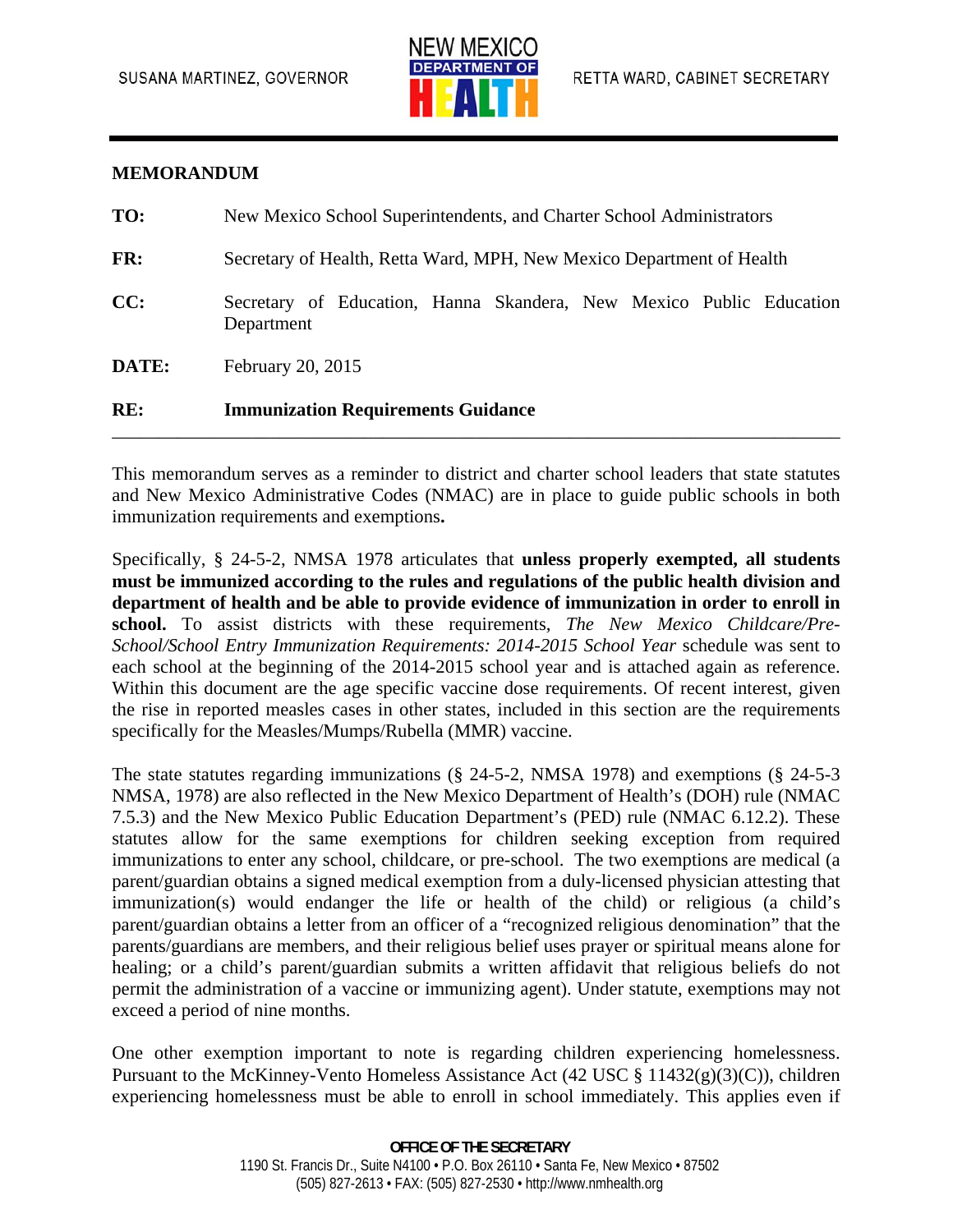

## **MEMORANDUM**

| RE:   | <b>Immunization Requirements Guidance</b>                                         |
|-------|-----------------------------------------------------------------------------------|
| DATE: | February 20, 2015                                                                 |
| CC:   | Secretary of Education, Hanna Skandera, New Mexico Public Education<br>Department |
| FR:   | Secretary of Health, Retta Ward, MPH, New Mexico Department of Health             |
| TO:   | New Mexico School Superintendents, and Charter School Administrators              |

This memorandum serves as a reminder to district and charter school leaders that state statutes and New Mexico Administrative Codes (NMAC) are in place to guide public schools in both immunization requirements and exemptions**.** 

Specifically, § 24-5-2, NMSA 1978 articulates that **unless properly exempted, all students must be immunized according to the rules and regulations of the public health division and department of health and be able to provide evidence of immunization in order to enroll in school.** To assist districts with these requirements, *The New Mexico Childcare/Pre-School/School Entry Immunization Requirements: 2014-2015 School Year* schedule was sent to each school at the beginning of the 2014-2015 school year and is attached again as reference. Within this document are the age specific vaccine dose requirements. Of recent interest, given the rise in reported measles cases in other states, included in this section are the requirements specifically for the Measles/Mumps/Rubella (MMR) vaccine.

The state statutes regarding immunizations (§ 24-5-2, NMSA 1978) and exemptions (§ 24-5-3 NMSA, 1978) are also reflected in the New Mexico Department of Health's (DOH) rule (NMAC 7.5.3) and the New Mexico Public Education Department's (PED) rule (NMAC 6.12.2). These statutes allow for the same exemptions for children seeking exception from required immunizations to enter any school, childcare, or pre-school. The two exemptions are medical (a parent/guardian obtains a signed medical exemption from a duly-licensed physician attesting that immunization(s) would endanger the life or health of the child) or religious (a child's parent/guardian obtains a letter from an officer of a "recognized religious denomination" that the parents/guardians are members, and their religious belief uses prayer or spiritual means alone for healing; or a child's parent/guardian submits a written affidavit that religious beliefs do not permit the administration of a vaccine or immunizing agent). Under statute, exemptions may not exceed a period of nine months.

One other exemption important to note is regarding children experiencing homelessness. Pursuant to the McKinney-Vento Homeless Assistance Act (42 USC § 11432(g)(3)(C)), children experiencing homelessness must be able to enroll in school immediately. This applies even if